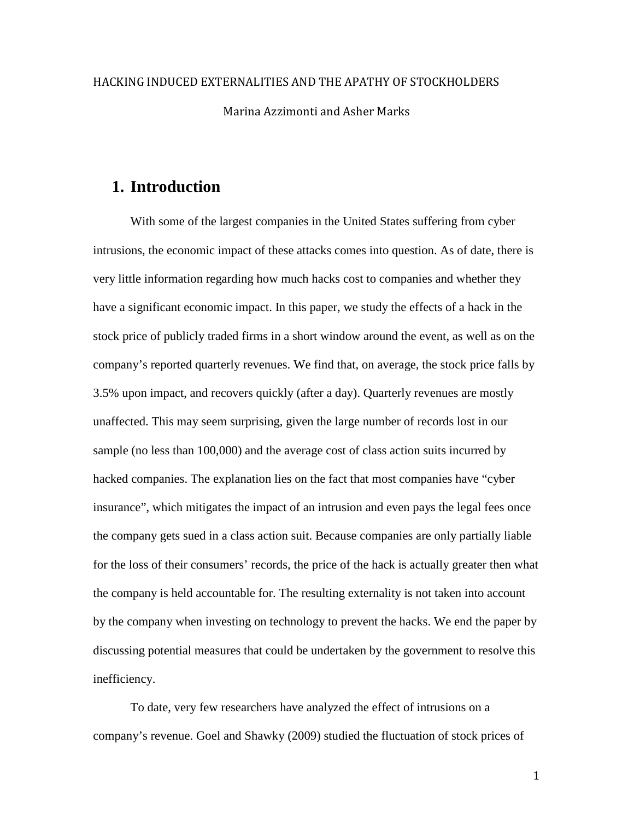# HACKING INDUCED EXTERNALITIES AND THE APATHY OF STOCKHOLDERS Marina Azzimonti and Asher Marks

# **1. Introduction**

With some of the largest companies in the United States suffering from cyber intrusions, the economic impact of these attacks comes into question. As of date, there is very little information regarding how much hacks cost to companies and whether they have a significant economic impact. In this paper, we study the effects of a hack in the stock price of publicly traded firms in a short window around the event, as well as on the company's reported quarterly revenues. We find that, on average, the stock price falls by 3.5% upon impact, and recovers quickly (after a day). Quarterly revenues are mostly unaffected. This may seem surprising, given the large number of records lost in our sample (no less than 100,000) and the average cost of class action suits incurred by hacked companies. The explanation lies on the fact that most companies have "cyber insurance", which mitigates the impact of an intrusion and even pays the legal fees once the company gets sued in a class action suit. Because companies are only partially liable for the loss of their consumers' records, the price of the hack is actually greater then what the company is held accountable for. The resulting externality is not taken into account by the company when investing on technology to prevent the hacks. We end the paper by discussing potential measures that could be undertaken by the government to resolve this inefficiency.

To date, very few researchers have analyzed the effect of intrusions on a company's revenue. Goel and Shawky (2009) studied the fluctuation of stock prices of

1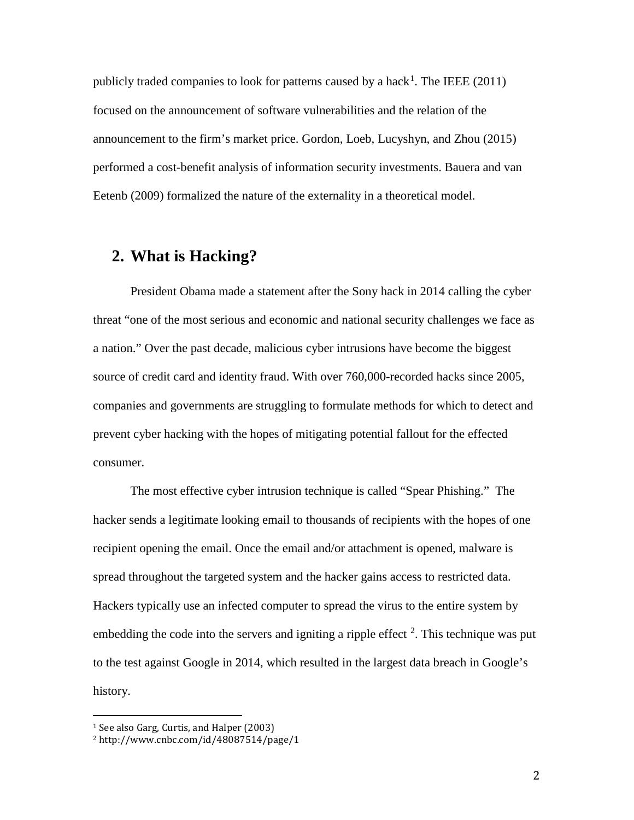publicly traded companies to look for patterns caused by a hack<sup>[1](#page-1-0)</sup>. The IEEE  $(2011)$ focused on the announcement of software vulnerabilities and the relation of the announcement to the firm's market price. Gordon, Loeb, Lucyshyn, and Zhou (2015) performed a cost-benefit analysis of information security investments. Bauera and van Eetenb (2009) formalized the nature of the externality in a theoretical model.

# **2. What is Hacking?**

President Obama made a statement after the Sony hack in 2014 calling the cyber threat "one of the most serious and economic and national security challenges we face as a nation." Over the past decade, malicious cyber intrusions have become the biggest source of credit card and identity fraud. With over 760,000-recorded hacks since 2005, companies and governments are struggling to formulate methods for which to detect and prevent cyber hacking with the hopes of mitigating potential fallout for the effected consumer.

The most effective cyber intrusion technique is called "Spear Phishing." The hacker sends a legitimate looking email to thousands of recipients with the hopes of one recipient opening the email. Once the email and/or attachment is opened, malware is spread throughout the targeted system and the hacker gains access to restricted data. Hackers typically use an infected computer to spread the virus to the entire system by embedding the code into the servers and igniting a ripple effect  $2$ . This technique was put to the test against Google in 2014, which resulted in the largest data breach in Google's history.

<span id="page-1-0"></span> <sup>1</sup> See also Garg, Curtis, and Halper (2003)

<span id="page-1-1"></span><sup>2</sup> http://www.cnbc.com/id/48087514/page/1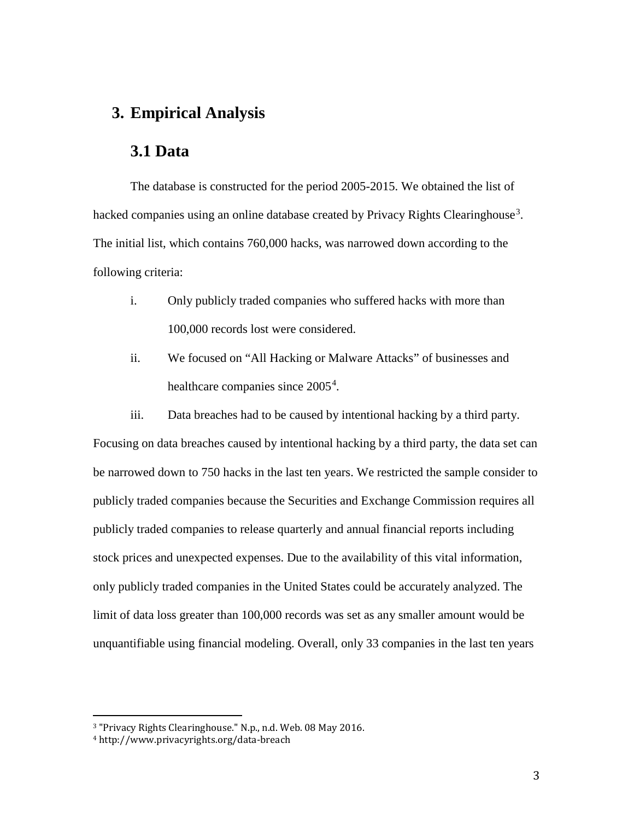### **3. Empirical Analysis**

## **3.1 Data**

The database is constructed for the period 2005-2015. We obtained the list of hacked companies using an online database created by Privacy Rights Clearinghouse<sup>[3](#page-2-0)</sup>. The initial list, which contains 760,000 hacks, was narrowed down according to the following criteria:

- i. Only publicly traded companies who suffered hacks with more than 100,000 records lost were considered.
- ii. We focused on "All Hacking or Malware Attacks" of businesses and healthcare companies since 2005<sup>[4](#page-2-1)</sup>.

iii. Data breaches had to be caused by intentional hacking by a third party. Focusing on data breaches caused by intentional hacking by a third party, the data set can be narrowed down to 750 hacks in the last ten years. We restricted the sample consider to publicly traded companies because the Securities and Exchange Commission requires all publicly traded companies to release quarterly and annual financial reports including stock prices and unexpected expenses. Due to the availability of this vital information, only publicly traded companies in the United States could be accurately analyzed. The limit of data loss greater than 100,000 records was set as any smaller amount would be unquantifiable using financial modeling. Overall, only 33 companies in the last ten years

<span id="page-2-0"></span> <sup>3</sup> "Privacy Rights Clearinghouse." N.p., n.d. Web. 08 May 2016.

<span id="page-2-1"></span><sup>4</sup> http://www.privacyrights.org/data-breach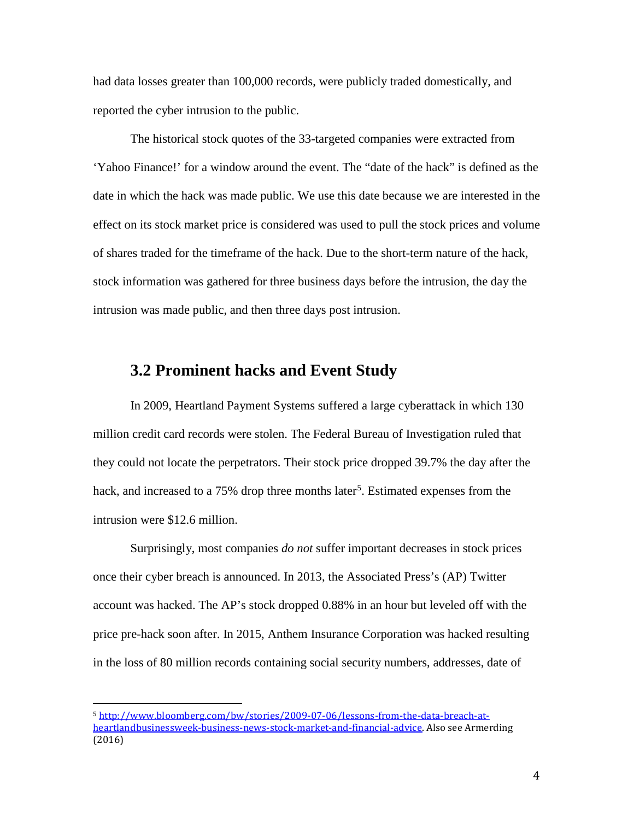had data losses greater than 100,000 records, were publicly traded domestically, and reported the cyber intrusion to the public.

The historical stock quotes of the 33-targeted companies were extracted from 'Yahoo Finance!' for a window around the event. The "date of the hack" is defined as the date in which the hack was made public. We use this date because we are interested in the effect on its stock market price is considered was used to pull the stock prices and volume of shares traded for the timeframe of the hack. Due to the short-term nature of the hack, stock information was gathered for three business days before the intrusion, the day the intrusion was made public, and then three days post intrusion.

#### **3.2 Prominent hacks and Event Study**

In 2009, Heartland Payment Systems suffered a large cyberattack in which 130 million credit card records were stolen. The Federal Bureau of Investigation ruled that they could not locate the perpetrators. Their stock price dropped 39.7% the day after the hack, and increased to a 7[5](#page-3-0)% drop three months later<sup>5</sup>. Estimated expenses from the intrusion were \$12.6 million.

Surprisingly, most companies *do not* suffer important decreases in stock prices once their cyber breach is announced. In 2013, the Associated Press's (AP) Twitter account was hacked. The AP's stock dropped 0.88% in an hour but leveled off with the price pre-hack soon after. In 2015, Anthem Insurance Corporation was hacked resulting in the loss of 80 million records containing social security numbers, addresses, date of

<span id="page-3-0"></span> <sup>5</sup> [http://www.bloomberg.com/bw/stories/2009-07-06/lessons-from-the-data-breach-at](http://www.bloomberg.com/bw/stories/2009-07-06/lessons-from-the-data-breach-at-heartlandbusinessweek-business-news-stock-market-and-financial-advice)[heartlandbusinessweek-business-news-stock-market-and-financial-advice.](http://www.bloomberg.com/bw/stories/2009-07-06/lessons-from-the-data-breach-at-heartlandbusinessweek-business-news-stock-market-and-financial-advice) Also see Armerding (2016)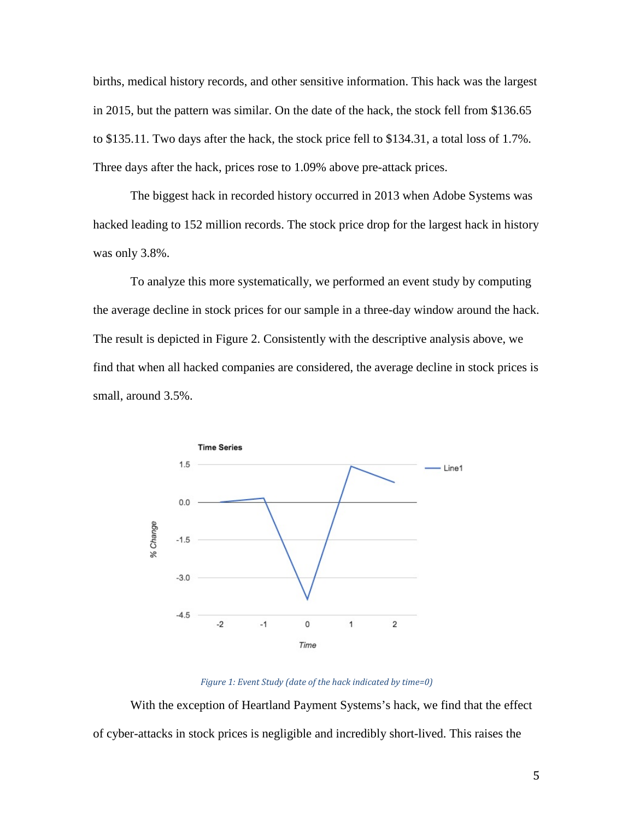births, medical history records, and other sensitive information. This hack was the largest in 2015, but the pattern was similar. On the date of the hack, the stock fell from \$136.65 to \$135.11. Two days after the hack, the stock price fell to \$134.31, a total loss of 1.7%. Three days after the hack, prices rose to 1.09% above pre-attack prices.

The biggest hack in recorded history occurred in 2013 when Adobe Systems was hacked leading to 152 million records. The stock price drop for the largest hack in history was only 3.8%.

To analyze this more systematically, we performed an event study by computing the average decline in stock prices for our sample in a three-day window around the hack. The result is depicted in Figure 2. Consistently with the descriptive analysis above, we find that when all hacked companies are considered, the average decline in stock prices is small, around 3.5%.



*Figure 1: Event Study (date of the hack indicated by time=0)*

With the exception of Heartland Payment Systems's hack, we find that the effect of cyber-attacks in stock prices is negligible and incredibly short-lived. This raises the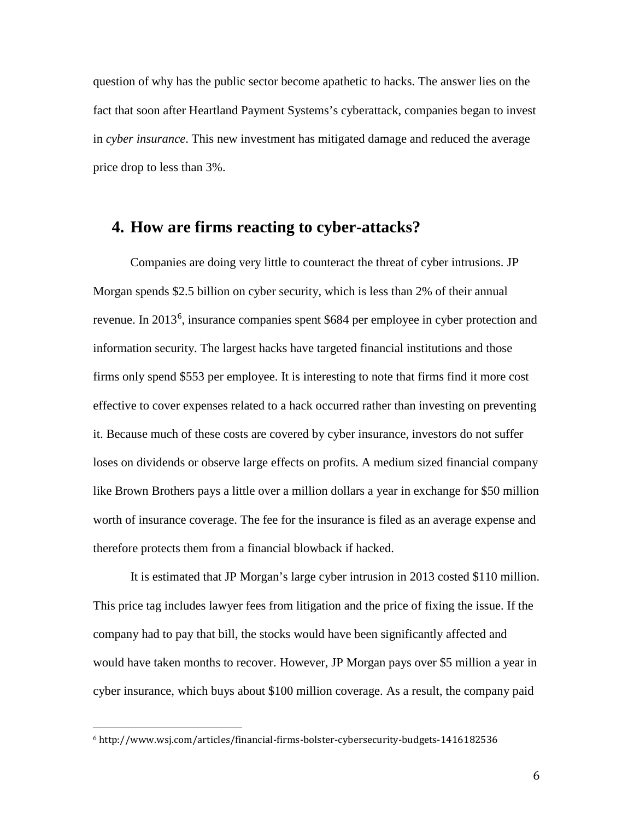question of why has the public sector become apathetic to hacks. The answer lies on the fact that soon after Heartland Payment Systems's cyberattack, companies began to invest in *cyber insurance*. This new investment has mitigated damage and reduced the average price drop to less than 3%.

#### **4. How are firms reacting to cyber-attacks?**

Companies are doing very little to counteract the threat of cyber intrusions. JP Morgan spends \$2.5 billion on cyber security, which is less than 2% of their annual revenue. In 2013<sup>[6](#page-5-0)</sup>, insurance companies spent \$684 per employee in cyber protection and information security. The largest hacks have targeted financial institutions and those firms only spend \$553 per employee. It is interesting to note that firms find it more cost effective to cover expenses related to a hack occurred rather than investing on preventing it. Because much of these costs are covered by cyber insurance, investors do not suffer loses on dividends or observe large effects on profits. A medium sized financial company like Brown Brothers pays a little over a million dollars a year in exchange for \$50 million worth of insurance coverage. The fee for the insurance is filed as an average expense and therefore protects them from a financial blowback if hacked.

It is estimated that JP Morgan's large cyber intrusion in 2013 costed \$110 million. This price tag includes lawyer fees from litigation and the price of fixing the issue. If the company had to pay that bill, the stocks would have been significantly affected and would have taken months to recover. However, JP Morgan pays over \$5 million a year in cyber insurance, which buys about \$100 million coverage. As a result, the company paid

<span id="page-5-0"></span> <sup>6</sup> http://www.wsj.com/articles/financial-firms-bolster-cybersecurity-budgets-1416182536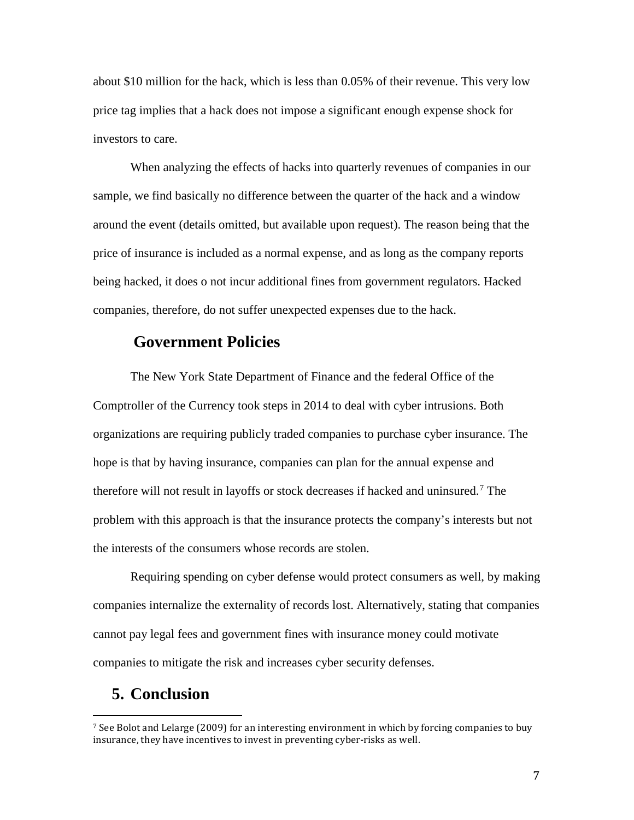about \$10 million for the hack, which is less than 0.05% of their revenue. This very low price tag implies that a hack does not impose a significant enough expense shock for investors to care.

When analyzing the effects of hacks into quarterly revenues of companies in our sample, we find basically no difference between the quarter of the hack and a window around the event (details omitted, but available upon request). The reason being that the price of insurance is included as a normal expense, and as long as the company reports being hacked, it does o not incur additional fines from government regulators. Hacked companies, therefore, do not suffer unexpected expenses due to the hack.

### **Government Policies**

The New York State Department of Finance and the federal Office of the Comptroller of the Currency took steps in 2014 to deal with cyber intrusions. Both organizations are requiring publicly traded companies to purchase cyber insurance. The hope is that by having insurance, companies can plan for the annual expense and therefore will not result in layoffs or stock decreases if hacked and uninsured.<sup>[7](#page-6-0)</sup> The problem with this approach is that the insurance protects the company's interests but not the interests of the consumers whose records are stolen.

Requiring spending on cyber defense would protect consumers as well, by making companies internalize the externality of records lost. Alternatively, stating that companies cannot pay legal fees and government fines with insurance money could motivate companies to mitigate the risk and increases cyber security defenses.

#### **5. Conclusion**

<span id="page-6-0"></span><sup>&</sup>lt;sup>7</sup> See Bolot and Lelarge (2009) for an interesting environment in which by forcing companies to buy insurance, they have incentives to invest in preventing cyber-risks as well.